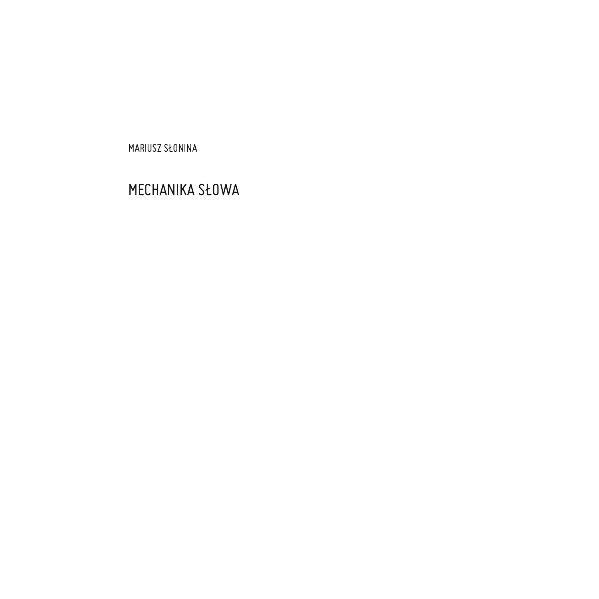MARIUSZ SŁONINA

## MECHANIKA SŁOWA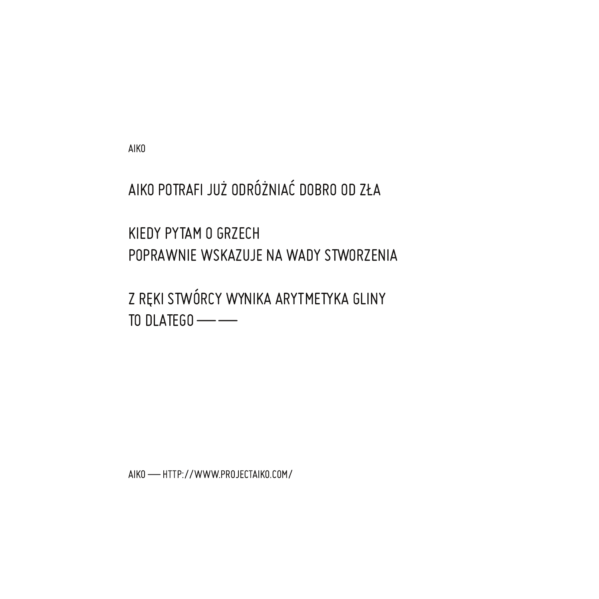**AIKO** 

AIKO POTRAFI JUŻ ODRÓŻNIAĆ DOBRO OD ZŁA

KIEDY PYTAM O GRZECH POPRAWNIE WSKAZUJE NA WADY STWORZENIA

Z REKI STWÓRCY WYNIKA ARYTMETYKA GLINY TO DLATEGO $\longrightarrow$ 

AIKO - HTTP://WWW.PROJECTAIKO.COM/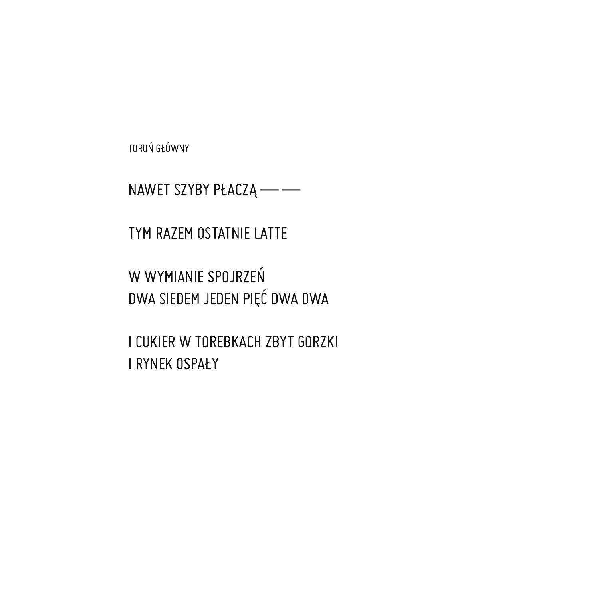TORUŃ GŁÓWNY

NAWET SZYBY PŁACZĄ - -

TYM RAZEM OSTATNIE LATTE

W WYMIANIE SPOJRZEŃ DWA SIEDEM JEDEN PIĘĆ DWA DWA

I CUKIER W TOREBKACH ZBYT GORZKI **I RYNEK OSPAŁY**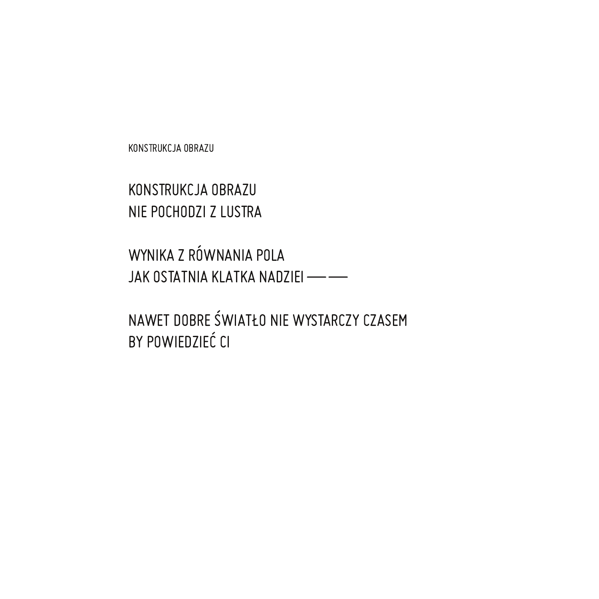KONSTRUKCJA OBRAZU

KONSTRUKCJA OBRAZU NIE POCHODZI Z LUSTRA

WYNIKA Z RÓWNANIA POLA JAK OSTATNIA KLATKA NADZIEI - -

NAWET DOBRE ŚWIATŁO NIE WYSTARCZY CZASEM BY POWIEDZIEĆ CI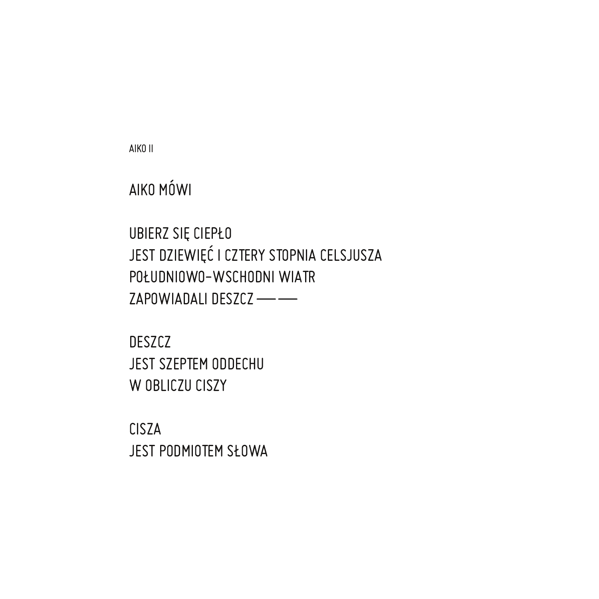**CISZA** JEST PODMIOTEM SŁOWA

**DESZCZ** JEST SZEPTEM ODDECHU W OBLICZU CISZY

UBIERZ SIĘ CIEPŁO JEST DZIEWIĘĆ I CZTERY STOPNIA CELSJUSZA POŁUDNIOWO-WSCHODNI WIATR ZAPOWIADALI DESZCZ --

AIKO II

AIKO MÓWI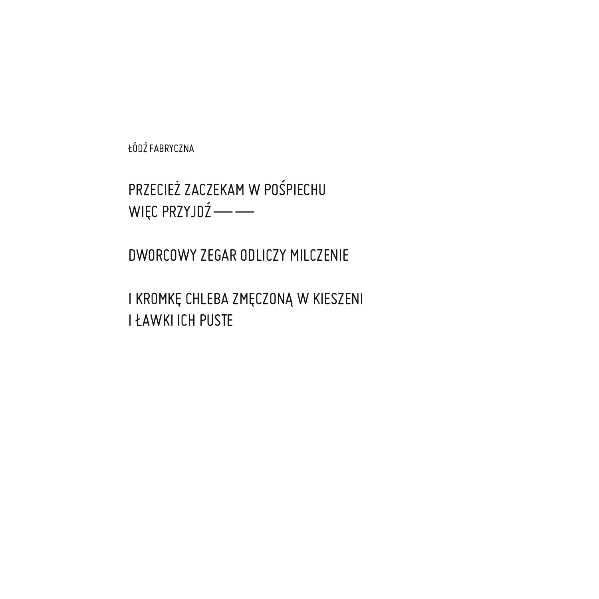ŁÓDŹ FABRYCZNA

PRZECIEŻ ZACZEKAM W POŚPIECHU WIĘC PRZYJDŹ-

DWORCOWY ZEGAR ODLICZY MILCZENIE

I KROMKĘ CHLEBA ZMĘCZONĄ W KIESZENI **I ŁAWKI ICH PUSTE**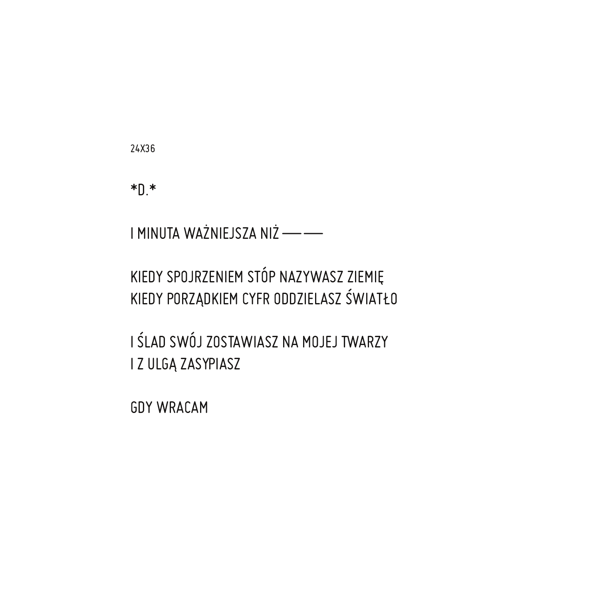24X36

 $* \mathbb{R} *$ 

I MINUTA WAŻNIEJSZA NIŻ - -

KIEDY SPOJRZENIEM STÓP NAZYWASZ ZIEMIĘ KIEDY PORZĄDKIEM CYFR ODDZIELASZ ŚWIATŁO

I ŚLAD SWÓJ ZOSTAWIASZ NA MOJEJ TWARZY I Z ULGĄ ZASYPIASZ

**GDY WRACAM**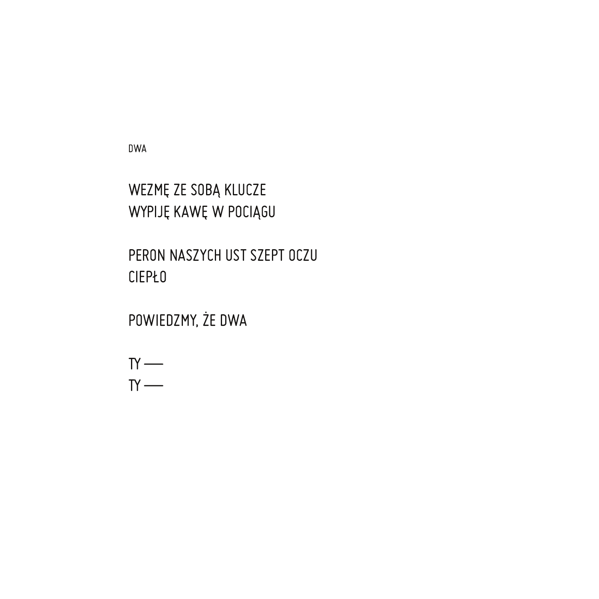**DWA** 

 $T'$  $TY$  —

WEZMĘ ZE SOBĄ KLUCZE WYPIJĘ KAWĘ W POCIĄGU

PERON NASZYCH UST SZEPT OCZU

POWIEDZMY, ŻE DWA

**CIEPŁO**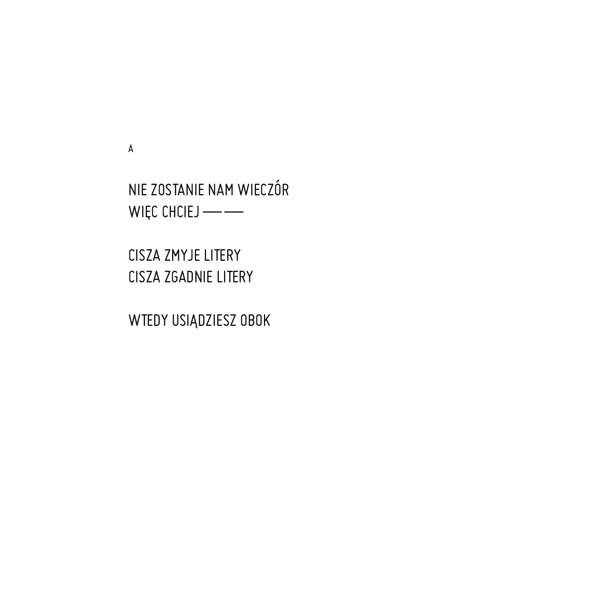WTEDY USIĄDZIESZ OBOK

CISZA ZMYJE LITERY CISZA ZGADNIE LITERY

NIE ZOSTANIE NAM WIECZÓR  $WIEC CHCIEJ$  — —

 $\mathsf A$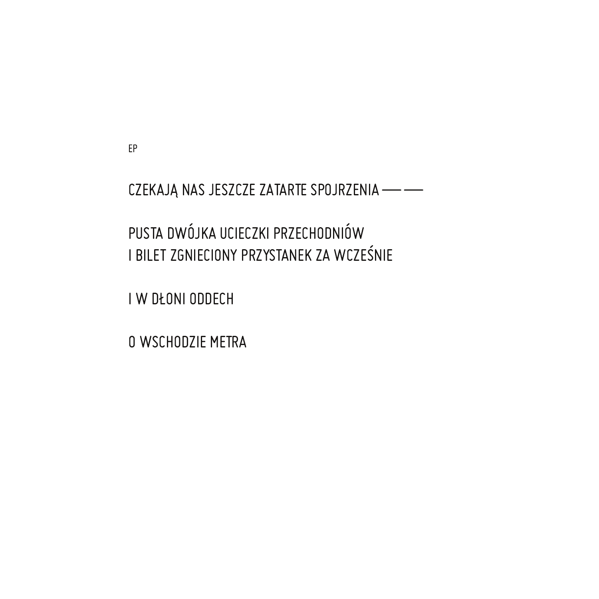EP

CZEKAJĄ NAS JESZCZE ZATARTE SPOJRZENIA - -

PUSTA DWÓJKA UCIECZKI PRZECHODNIÓW I BILET ZGNIECIONY PRZYSTANEK ZA WCZEŚNIE

I W DŁONI ODDECH

O WSCHODZIE METRA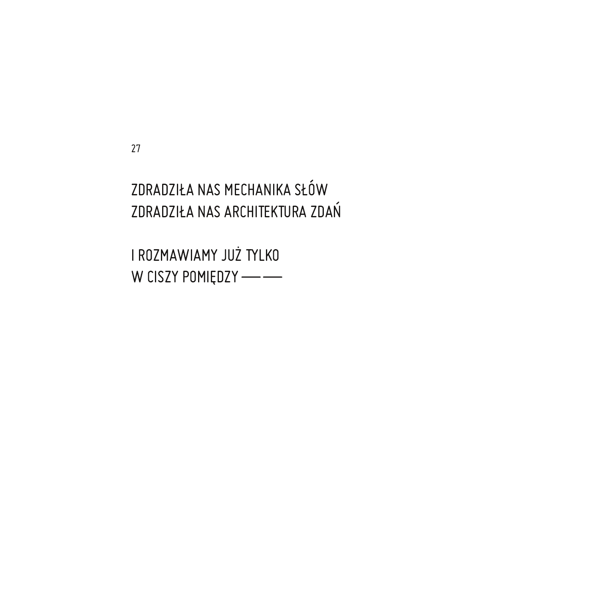27

ZDRADZIŁA NAS MECHANIKA SŁÓW ZDRADZIŁA NAS ARCHITEKTURA ZDAŃ

I ROZMAWIAMY JUŻ TYLKO W CISZY POMIĘDZY --